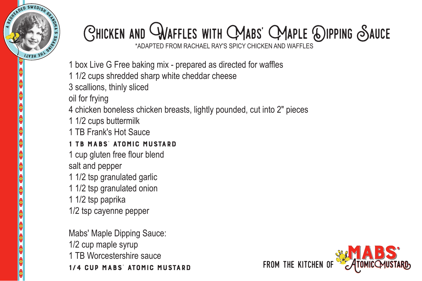

## Chicken and Waffles with Mabs' Maple Dipping Sauce

\*ADAPTED FROM RACHAEL RAY'S SPICY CHICKEN AND WAFFLES

- 1 box Live G Free baking mix prepared as directed for waffles
- 1 1/2 cups shredded sharp white cheddar cheese
- 3 scallions, thinly sliced
- oil for frying
- 4 chicken boneless chicken breasts, lightly pounded, cut into 2" pieces
- 1 1/2 cups buttermilk
- 1 TB Frank's Hot Sauce

## 1 TB Mabs' Atomic Mustard

- 1 cup gluten free flour blend salt and pepper
- 1 1/2 tsp granulated garlic
- 1 1/2 tsp granulated onion
- 1 1/2 tsp paprika
- 1/2 tsp cayenne pepper

Mabs' Maple Dipping Sauce: 1/2 cup maple syrup 1 TB Worcestershire sauce 1/4 cup Mabs' Atomic Mustard